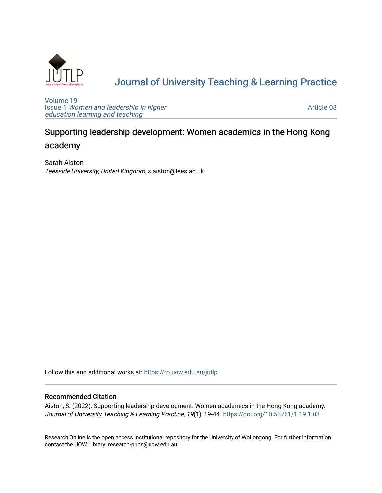

# [Journal of University Teaching & Learning Practice](https://ro.uow.edu.au/jutlp)

[Volume 19](https://ro.uow.edu.au/jutlp/vol19) Issue 1 [Women and leadership in higher](https://ro.uow.edu.au/jutlp/vol19/iss1) [education learning and teaching](https://ro.uow.edu.au/jutlp/vol19/iss1)

[Article 03](https://ro.uow.edu.au/jutlp/vol19/iss1/03) 

# Supporting leadership development: Women academics in the Hong Kong academy

Sarah Aiston Teesside University, United Kingdom, s.aiston@tees.ac.uk

Follow this and additional works at: [https://ro.uow.edu.au/jutlp](https://ro.uow.edu.au/jutlp?utm_source=ro.uow.edu.au%2Fjutlp%2Fvol19%2Fiss1%2F03&utm_medium=PDF&utm_campaign=PDFCoverPages) 

## Recommended Citation

Aiston, S. (2022). Supporting leadership development: Women academics in the Hong Kong academy. Journal of University Teaching & Learning Practice, 19(1), 19-44. <https://doi.org/10.53761/1.19.1.03>

Research Online is the open access institutional repository for the University of Wollongong. For further information contact the UOW Library: research-pubs@uow.edu.au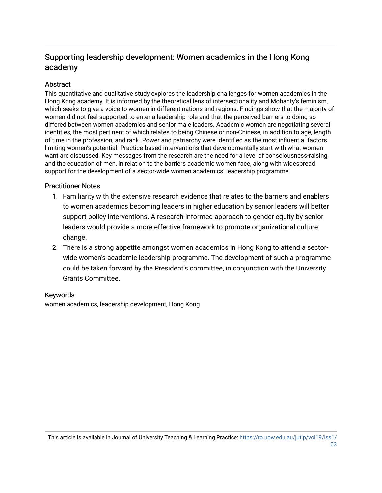# Supporting leadership development: Women academics in the Hong Kong academy

## **Abstract**

This quantitative and qualitative study explores the leadership challenges for women academics in the Hong Kong academy. It is informed by the theoretical lens of intersectionality and Mohanty's feminism, which seeks to give a voice to women in different nations and regions. Findings show that the majority of women did not feel supported to enter a leadership role and that the perceived barriers to doing so differed between women academics and senior male leaders. Academic women are negotiating several identities, the most pertinent of which relates to being Chinese or non-Chinese, in addition to age, length of time in the profession, and rank. Power and patriarchy were identified as the most influential factors limiting women's potential. Practice-based interventions that developmentally start with what women want are discussed. Key messages from the research are the need for a level of consciousness-raising, and the education of men, in relation to the barriers academic women face, along with widespread support for the development of a sector-wide women academics' leadership programme.

## Practitioner Notes

- 1. Familiarity with the extensive research evidence that relates to the barriers and enablers to women academics becoming leaders in higher education by senior leaders will better support policy interventions. A research-informed approach to gender equity by senior leaders would provide a more effective framework to promote organizational culture change.
- 2. There is a strong appetite amongst women academics in Hong Kong to attend a sectorwide women's academic leadership programme. The development of such a programme could be taken forward by the President's committee, in conjunction with the University Grants Committee.

## Keywords

women academics, leadership development, Hong Kong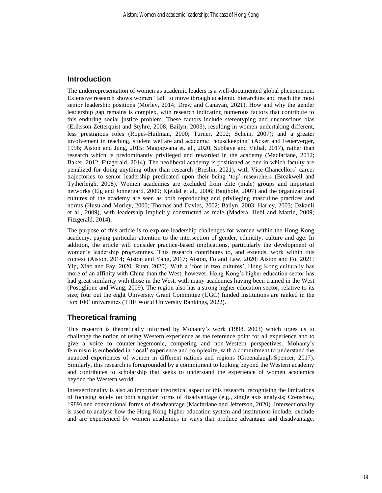## **Introduction**

The underrepresentation of women as academic leaders is a well-documented global phenomenon. Extensive research shows women 'fail' to move through academic hierarchies and reach the most senior leadership positions (Morley, 2014; Drew and Canavan, 2021). How and why the gender leadership gap remains is complex, with research indicating numerous factors that contribute to this enduring social justice problem. These factors include stereotyping and unconscious bias (Eriksson-Zetterquist and Styhre, 2008; Bailyn, 2003), resulting in women undertaking different, less prestigious roles (Ropes-Huilman, 2000; Turner, 2002; Schein, 2007); and a greater involvement in teaching, student welfare and academic 'housekeeping' (Acker and Feuerverger, 1996; Aiston and Jung, 2015; Magoqwana et. al., 2020, Subbaye and Vithal, 2017), rather than research which is predominantly privileged and rewarded in the academy (Macfarlane, 2012; Baker, 2012, Fitzgerald, 2014). The neoliberal academy is positioned as one in which faculty are penalized for doing anything other than research (Breslin, 2021), with Vice-Chancellors' career trajectories to senior leadership predicated upon their being 'top' researchers (Breakwell and Tytherleigh, 2008). Women academics are excluded from elite (male) groups and important networks (Elg and Jonnergard, 2009; Kjeldal et al., 2006; Bagihole, 2007) and the organizational cultures of the academy are seen as both reproducing and privileging masculine practices and norms (Husu and Morley, 2000; Thomas and Davies, 2002; Bailyn, 2003; Harley, 2003; Ozkanli et al., 2009), with leadership implicitly constructed as male (Madera, Hebl and Martin, 2009; Fitzgerald, 2014).

The purpose of this article is to explore leadership challenges for women within the Hong Kong academy, paying particular attention to the intersection of gender, ethnicity, culture and age. In addition, the article will consider practice-based implications, particularly the development of women's leadership programmes. This research contributes to, and extends, work within this context (Aiston, 2014; Aiston and Yang, 2017; Aiston, Fo and Law, 2020; Aiston and Fo, 2021; Yip, Xiao and Fay, 2020, Ruan, 2020). With a 'foot in two cultures', Hong Kong culturally has more of an affinity with China than the West, however, Hong Kong's higher education sector has had great similarity with those in the West, with many academics having been trained in the West (Postiglione and Wang, 2009). The region also has a strong higher education sector, relative to its size; four out the eight University Grant Committee (UGC) funded institutions are ranked in the 'top 100' universities (THE World University Rankings, 2022).

## **Theoretical framing**

This research is theoretically informed by Mohanty's work (1998, 2003) which urges us to challenge the notion of using Western experience as the reference point for all experience and to give a voice to counter-hegemonic, competing and non-Western perspectives. Mohanty's feminism is embedded in 'local' experience and complexity, with a commitment to understand the nuanced experiences of women in different nations and regions (Greenalaugh-Spencer, 2017). Similarly, this research is foregrounded by a commitment to looking beyond the Western academy and contributes to scholarship that seeks to understand the experience of women academics beyond the Western world.

Intersectionality is also an important theoretical aspect of this research, recognising the limitations of focusing solely on both singular forms of disadvantage (e.g., single axis analysis; Crenshaw, 1989) and conventional forms of disadvantage (Macfarlane and Jefferson, 2020). Intersectionality is used to analyse how the Hong Kong higher education system and institutions include, exclude and are experienced by women academics in ways that produce advantage and disadvantage.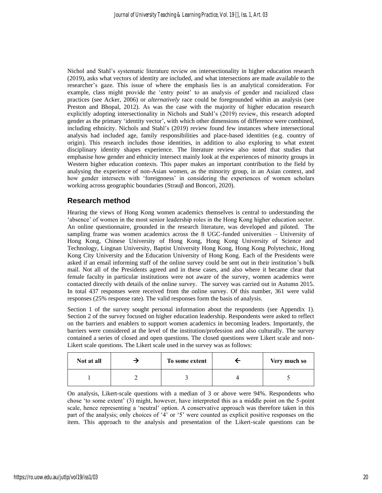Nichol and Stahl's systematic literature review on intersectionality in higher education research (2019), asks what vectors of identity are included, and what intersections are made available to the researcher's gaze. This issue of where the emphasis lies is an analytical consideration. For example, class might provide the 'entry point' to an analysis of gender and racialized class practices (see Acker, 2006) or *alternatively* race could be foregrounded within an analysis (see Preston and Bhopal, 2012). As was the case with the majority of higher education research explicitly adopting intersectionality in Nichols and Stahl's (2019) review, this research adopted gender as the primary 'identity vector', with which other dimensions of difference were combined, including ethnicity. Nichols and Stahl's (2019) review found few instances where intersectional analysis had included age, family responsibilities and place-based identities (e.g. country of origin). This research includes those identities, in addition to also exploring to what extent disciplinary identity shapes experience. The literature review also noted that studies that emphasise how gender and ethnicity intersect mainly look at the experiences of minority groups in Western higher education contexts. This paper makes an important contribution to the field by analysing the experience of non-Asian women, as the minority group, in an Asian context, and how gender intersects with 'foreignness' in considering the experiences of women scholars working across geographic boundaries (Strauβ and Boncori, 2020).

## **Research method**

Hearing the views of Hong Kong women academics themselves is central to understanding the 'absence' of women in the most senior leadership roles in the Hong Kong higher education sector. An online questionnaire, grounded in the research literature, was developed and piloted. The sampling frame was women academics across the 8 UGC-funded universities – University of Hong Kong, Chinese University of Hong Kong, Hong Kong University of Science and Technology, Lingnan University, Baptist University Hong Kong, Hong Kong Polytechnic, Hong Kong City University and the Education University of Hong Kong. Each of the Presidents were asked if an email informing staff of the online survey could be sent out in their institution's bulk mail. Not all of the Presidents agreed and in these cases, and also where it became clear that female faculty in particular institutions were not aware of the survey, women academics were contacted directly with details of the online survey. The survey was carried out in Autumn 2015. In total 437 responses were received from the online survey. Of this number, 361 were valid responses (25% response rate). The valid responses form the basis of analysis.

Section 1 of the survey sought personal information about the respondents (see Appendix 1). Section 2 of the survey focused on higher education leadership. Respondents were asked to reflect on the barriers and enablers to support women academics in becoming leaders. Importantly, the barriers were considered at the level of the institution/profession and also culturally. The survey contained a series of closed and open questions. The closed questions were Likert scale and non-Likert scale questions. The Likert scale used in the survey was as follows:

| Not at all | To some extent | Very much so |
|------------|----------------|--------------|
|            |                |              |

On analysis, Likert-scale questions with a median of 3 or above were 94%. Respondents who chose 'to some extent' (3) might, however, have interpreted this as a middle point on the 5-point scale, hence representing a 'neutral' option. A conservative approach was therefore taken in this part of the analysis; only choices of '4' or '5' were counted as explicit positive responses on the item. This approach to the analysis and presentation of the Likert-scale questions can be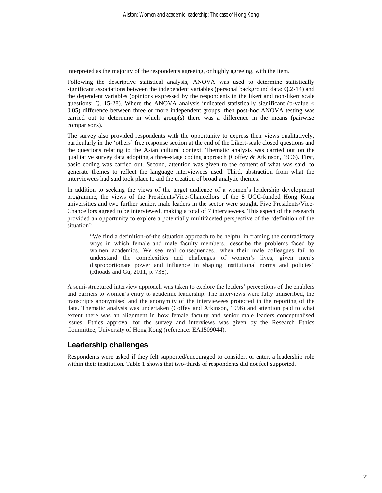interpreted as the majority of the respondents agreeing, or highly agreeing, with the item.

Following the descriptive statistical analysis, ANOVA was used to determine statistically significant associations between the independent variables (personal background data: Q.2-14) and the dependent variables (opinions expressed by the respondents in the likert and non-likert scale questions: Q. 15-28). Where the ANOVA analysis indicated statistically significant (p-value  $\lt$ 0.05) difference between three or more independent groups, then post-hoc ANOVA testing was carried out to determine in which group(s) there was a difference in the means (pairwise comparisons).

The survey also provided respondents with the opportunity to express their views qualitatively, particularly in the 'others' free response section at the end of the Likert-scale closed questions and the questions relating to the Asian cultural context. Thematic analysis was carried out on the qualitative survey data adopting a three-stage coding approach (Coffey & Atkinson, 1996). First, basic coding was carried out. Second, attention was given to the content of what was said, to generate themes to reflect the language interviewees used. Third, abstraction from what the interviewees had said took place to aid the creation of broad analytic themes.

In addition to seeking the views of the target audience of a women's leadership development programme, the views of the Presidents/Vice-Chancellors of the 8 UGC-funded Hong Kong universities and two further senior, male leaders in the sector were sought. Five Presidents/Vice-Chancellors agreed to be interviewed, making a total of 7 interviewees. This aspect of the research provided an opportunity to explore a potentially multifaceted perspective of the 'definition of the situation':

"We find a definition-of-the situation approach to be helpful in framing the contradictory ways in which female and male faculty members…describe the problems faced by women academics. We see real consequences…when their male colleagues fail to understand the complexities and challenges of women's lives, given men's disproportionate power and influence in shaping institutional norms and policies" (Rhoads and Gu, 2011, p. 738).

A semi-structured interview approach was taken to explore the leaders' perceptions of the enablers and barriers to women's entry to academic leadership. The interviews were fully transcribed, the transcripts anonymised and the anonymity of the interviewees protected in the reporting of the data. Thematic analysis was undertaken (Coffey and Atkinson, 1996) and attention paid to what extent there was an alignment in how female faculty and senior male leaders conceptualised issues. Ethics approval for the survey and interviews was given by the Research Ethics Committee, University of Hong Kong (reference: EA1509044).

## **Leadership challenges**

Respondents were asked if they felt supported/encouraged to consider, or enter, a leadership role within their institution. Table 1 shows that two-thirds of respondents did not feel supported.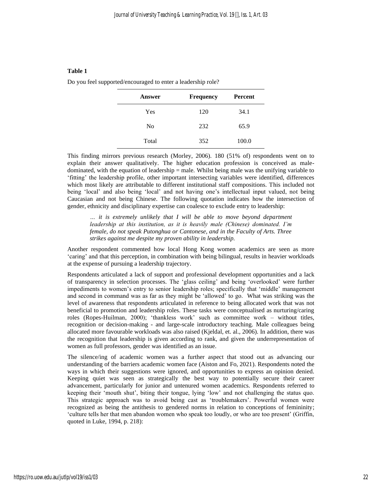Do you feel supported/encouraged to enter a leadership role?

| <b>Answer</b>  | Frequency | <b>Percent</b> |
|----------------|-----------|----------------|
| Yes            | 120       | 34.1           |
| N <sub>0</sub> | 232       | 65.9           |
| Total          | 352       | 100.0          |

This finding mirrors previous research (Morley, 2006). 180 (51% of) respondents went on to explain their answer qualitatively. The higher education profession is conceived as maledominated, with the equation of leadership = male. Whilst being male was the unifying variable to 'fitting' the leadership profile, other important intersecting variables were identified, differences which most likely are attributable to different institutional staff compositions. This included not being 'local' and also being 'local' and not having one's intellectual input valued, not being Caucasian and not being Chinese. The following quotation indicates how the intersection of gender, ethnicity and disciplinary expertise can coalesce to exclude entry to leadership:

*… it is extremely unlikely that I will be able to move beyond department leadership at this institution, as it is heavily male (Chinese) dominated. I'm female, do not speak Putonghua or Cantonese, and in the Faculty of Arts. Three strikes against me despite my proven ability in leadership.* 

Another respondent commented how local Hong Kong women academics are seen as more 'caring' and that this perception, in combination with being bilingual, results in heavier workloads at the expense of pursuing a leadership trajectory.

Respondents articulated a lack of support and professional development opportunities and a lack of transparency in selection processes. The 'glass ceiling' and being 'overlooked' were further impediments to women's entry to senior leadership roles; specifically that 'middle' management and second in command was as far as they might be 'allowed' to go. What was striking was the level of awareness that respondents articulated in reference to being allocated work that was not beneficial to promotion and leadership roles. These tasks were conceptualised as nurturing/caring roles (Ropes-Huilman, 2000); 'thankless work' such as committee work – without titles, recognition or decision-making - and large-scale introductory teaching. Male colleagues being allocated more favourable workloads was also raised (Kjeldal, et. al., 2006). In addition, there was the recognition that leadership is given according to rank, and given the underrepresentation of women as full professors, gender was identified as an issue.

The silence/ing of academic women was a further aspect that stood out as advancing our understanding of the barriers academic women face (Aiston and Fo, 2021). Respondents noted the ways in which their suggestions were ignored, and opportunities to express an opinion denied. Keeping quiet was seen as strategically the best way to potentially secure their career advancement, particularly for junior and untenured women academics. Respondents referred to keeping their 'mouth shut', biting their tongue, lying 'low' and not challenging the status quo. This strategic approach was to avoid being cast as 'troublemakers'. Powerful women were recognized as being the antithesis to gendered norms in relation to conceptions of femininity; 'culture tells her that men abandon women who speak too loudly, or who are too present' (Griffin, quoted in Luke, 1994, p. 218):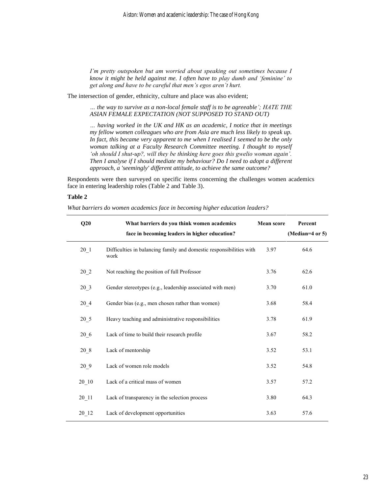*I'm pretty outspoken but am worried about speaking out sometimes because I know it might be held against me. I often have to play dumb and 'feminine' to get along and have to be careful that men's egos aren't hurt.* 

The intersection of gender, ethnicity, culture and place was also evident;

*… the way to survive as a non-local female staff is to be agreeable'; HATE THE ASIAN FEMALE EXPECTATION (NOT SUPPOSED TO STAND OUT)* 

*… having worked in the UK and HK as an academic, I notice that in meetings my fellow women colleagues who are from Asia are much less likely to speak up. In fact, this became very apparent to me when I realised I seemed to be the only woman talking at a Faculty Research Committee meeting. I thought to myself 'oh should I shut-up?, will they be thinking here goes this gwelio woman again'. Then I analyse if I should mediate my behaviour? Do I need to adopt a different approach, a 'seemingly' different attitude, to achieve the same outcome?*

Respondents were then surveyed on specific items concerning the challenges women academics face in entering leadership roles (Table 2 and Table 3).

#### **Table 2**

*What barriers do women academics face in becoming higher education leaders?* 

| Q20                | What barriers do you think women academics                                  | <b>Mean score</b> | Percent         |
|--------------------|-----------------------------------------------------------------------------|-------------------|-----------------|
|                    | face in becoming leaders in higher education?                               |                   | (Median=4 or 5) |
| $20-1$             | Difficulties in balancing family and domestic responsibilities with<br>work | 3.97              | 64.6            |
| $20_{2}$           | Not reaching the position of full Professor                                 | 3.76              | 62.6            |
| $20_3$             | Gender stereotypes (e.g., leadership associated with men)                   | 3.70              | 61.0            |
| 20 4               | Gender bias (e.g., men chosen rather than women)                            | 3.68              | 58.4            |
| $20\_5$            | Heavy teaching and administrative responsibilities                          | 3.78              | 61.9            |
| $20\_6$            | Lack of time to build their research profile                                | 3.67              | 58.2            |
| $20_{.8}$          | Lack of mentorship                                                          | 3.52              | 53.1            |
| 20 9               | Lack of women role models                                                   | 3.52              | 54.8            |
| $20 - 10$          | Lack of a critical mass of women                                            | 3.57              | 57.2            |
| $20$ <sup>11</sup> | Lack of transparency in the selection process                               | 3.80              | 64.3            |
| $20$ <sup>12</sup> | Lack of development opportunities                                           | 3.63              | 57.6            |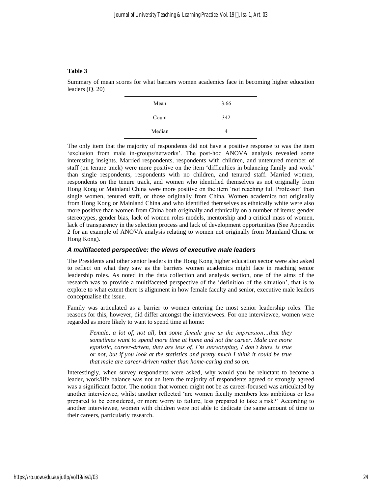Summary of mean scores for what barriers women academics face in becoming higher education leaders (Q. 20)

| Mean   | 3.66 |
|--------|------|
| Count  | 342  |
| Median |      |

The only item that the majority of respondents did not have a positive response to was the item 'exclusion from male in-groups/networks'. The post-hoc ANOVA analysis revealed some interesting insights. Married respondents, respondents with children, and untenured member of staff (on tenure track) were more positive on the item 'difficulties in balancing family and work' than single respondents, respondents with no children, and tenured staff. Married women, respondents on the tenure track, and women who identified themselves as not originally from Hong Kong or Mainland China were more positive on the item 'not reaching full Professor' than single women, tenured staff, or those originally from China. Women academics not originally from Hong Kong or Mainland China and who identified themselves as ethnically white were also more positive than women from China both originally and ethnically on a number of items: gender stereotypes, gender bias, lack of women roles models, mentorship and a critical mass of women, lack of transparency in the selection process and lack of development opportunities (See Appendix 2 for an example of ANOVA analysis relating to women not originally from Mainland China or Hong Kong).

#### *A multifaceted perspective: the views of executive male leaders*

The Presidents and other senior leaders in the Hong Kong higher education sector were also asked to reflect on what they saw as the barriers women academics might face in reaching senior leadership roles. As noted in the data collection and analysis section, one of the aims of the research was to provide a multifaceted perspective of the 'definition of the situation', that is to explore to what extent there is alignment in how female faculty and senior, executive male leaders conceptualise the issue.

Family was articulated as a barrier to women entering the most senior leadership roles. The reasons for this, however, did differ amongst the interviewees. For one interviewee, women were regarded as more likely to want to spend time at home:

*Female, a lot of, not all, but some female give us the impression…that they sometimes want to spend more time at home and not the career. Male are more egotistic, career-driven, they are less of, I'm stereotyping, I don't know is true or not, but if you look at the statistics and pretty much I think it could be true that male are career-driven rather than home-caring and so on.*

Interestingly, when survey respondents were asked, why would you be reluctant to become a leader, work/life balance was not an item the majority of respondents agreed or strongly agreed was a significant factor. The notion that women might not be as career-focused was articulated by another interviewee, whilst another reflected 'are women faculty members less ambitious or less prepared to be considered, or more worry to failure, less prepared to take a risk?' According to another interviewee, women with children were not able to dedicate the same amount of time to their careers, particularly research.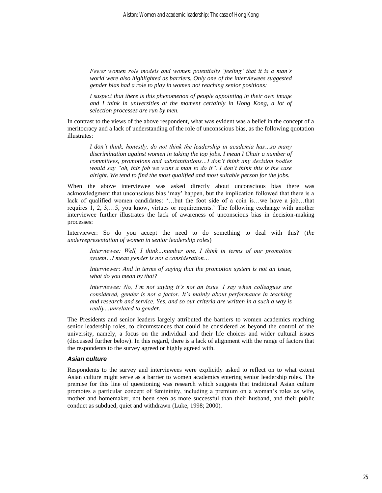*Fewer women role models and women potentially 'feeling' that it is a man's world were also highlighted as barriers. Only one of the interviewees suggested gender bias had a role to play in women not reaching senior positions:*

*I suspect that there is this phenomenon of people appointing in their own image and I think in universities at the moment certainly in Hong Kong, a lot of selection processes are run by men.* 

In contrast to the views of the above respondent, what was evident was a belief in the concept of a meritocracy and a lack of understanding of the role of unconscious bias, as the following quotation illustrates:

*I don't think, honestly, do not think the leadership in academia has…so many discrimination against women in taking the top jobs. I mean I Chair a number of committees, promotions and substantiations…I don't think any decision bodies would say "oh, this job we want a man to do it". I don't think this is the case alright. We tend to find the most qualified and most suitable person for the jobs.* 

When the above interviewee was asked directly about unconscious bias there was acknowledgment that unconscious bias 'may' happen, but the implication followed that there is a lack of qualified women candidates: '…but the foot side of a coin is…we have a job…that requires 1, 2, 3,…5, you know, virtues or requirements.' The following exchange with another interviewee further illustrates the lack of awareness of unconscious bias in decision-making processes:

Interviewer: So do you accept the need to do something to deal with this? (*the underrepresentation of women in senior leadership roles*)

*Interviewee: Well, I think…number one, I think in terms of our promotion system…I mean gender is not a consideration…*

*Interviewer: And in terms of saying that the promotion system is not an issue, what do you mean by that?* 

*Interviewee: No, I'm not saying it's not an issue. I say when colleagues are considered, gender is not a factor. It's mainly about performance in teaching and research and service. Yes, and so our criteria are written in a such a way is really…unrelated to gender.* 

The Presidents and senior leaders largely attributed the barriers to women academics reaching senior leadership roles, to circumstances that could be considered as beyond the control of the university, namely, a focus on the individual and their life choices and wider cultural issues (discussed further below). In this regard, there is a lack of alignment with the range of factors that the respondents to the survey agreed or highly agreed with.

#### *Asian culture*

Respondents to the survey and interviewees were explicitly asked to reflect on to what extent Asian culture might serve as a barrier to women academics entering senior leadership roles. The premise for this line of questioning was research which suggests that traditional Asian culture promotes a particular concept of femininity, including a premium on a woman's roles as wife, mother and homemaker, not been seen as more successful than their husband, and their public conduct as subdued, quiet and withdrawn (Luke, 1998; 2000).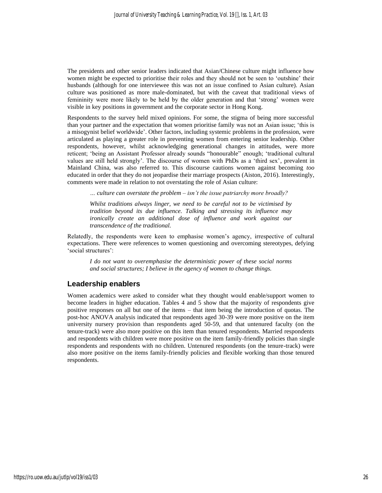The presidents and other senior leaders indicated that Asian/Chinese culture might influence how women might be expected to prioritise their roles and they should not be seen to 'outshine' their husbands (although for one interviewee this was not an issue confined to Asian culture). Asian culture was positioned as more male-dominated, but with the caveat that traditional views of femininity were more likely to be held by the older generation and that 'strong' women were visible in key positions in government and the corporate sector in Hong Kong.

Respondents to the survey held mixed opinions. For some, the stigma of being more successful than your partner and the expectation that women prioritise family was not an Asian issue; 'this is a misogynist belief worldwide'. Other factors, including systemic problems in the profession, were articulated as playing a greater role in preventing women from entering senior leadership. Other respondents, however, whilst acknowledging generational changes in attitudes, were more reticent; 'being an Assistant Professor already sounds "honourable" enough; 'traditional cultural values are still held strongly'. The discourse of women with PhDs as a 'third sex', prevalent in Mainland China, was also referred to. This discourse cautions women against becoming *too*  educated in order that they do not jeopardise their marriage prospects (Aiston, 2016). Interestingly, comments were made in relation to not overstating the role of Asian culture:

*… culture can overstate the problem – isn't the issue patriarchy more broadly?*

*Whilst traditions always linger, we need to be careful not to be victimised by tradition beyond its due influence. Talking and stressing its influence may ironically create an additional dose of influence and work against our transcendence of the traditional.*

Relatedly, the respondents were keen to emphasise women's agency, irrespective of cultural expectations. There were references to women questioning and overcoming stereotypes, defying 'social structures':

*I do not want to overemphasise the deterministic power of these social norms and social structures; I believe in the agency of women to change things.*

### **Leadership enablers**

Women academics were asked to consider what they thought would enable/support women to become leaders in higher education. Tables 4 and 5 show that the majority of respondents give positive responses on all but one of the items – that item being the introduction of quotas. The post-hoc ANOVA analysis indicated that respondents aged 30-39 were more positive on the item university nursery provision than respondents aged 50-59, and that untenured faculty (on the tenure-track) were also more positive on this item than tenured respondents. Married respondents and respondents with children were more positive on the item family-friendly policies than single respondents and respondents with no children. Untenured respondents (on the tenure-track) were also more positive on the items family-friendly policies and flexible working than those tenured respondents.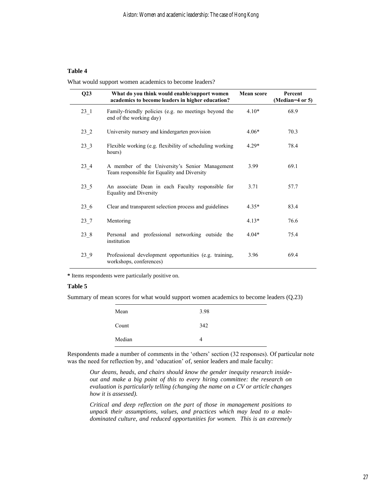What would support women academics to become leaders?

| Q23       | What do you think would enable/support women<br>academics to become leaders in higher education? | <b>Mean score</b> | Percent<br>(Median=4 or 5) |
|-----------|--------------------------------------------------------------------------------------------------|-------------------|----------------------------|
| $23 - 1$  | Family-friendly policies (e.g. no meetings beyond the<br>end of the working day)                 | $4.10*$           | 68.9                       |
| $23_{-}2$ | University nursery and kindergarten provision                                                    | $4.06*$           | 70.3                       |
| 23 3      | Flexible working (e.g. flexibility of scheduling working<br>hours)                               | $4.29*$           | 78.4                       |
| $23_{-}4$ | A member of the University's Senior Management<br>Team responsible for Equality and Diversity    | 3.99              | 69.1                       |
| $23\_5$   | An associate Dean in each Faculty responsible for<br><b>Equality and Diversity</b>               | 3.71              | 57.7                       |
| 23 6      | Clear and transparent selection process and guidelines                                           | $4.35*$           | 83.4                       |
| $23 - 7$  | Mentoring                                                                                        | $4.13*$           | 76.6                       |
| $23_{-8}$ | Personal and professional networking outside the<br>institution                                  | $4.04*$           | 75.4                       |
| 23 9      | Professional development opportunities (e.g. training,<br>workshops, conferences)                | 3.96              | 69.4                       |

**\*** Items respondents were particularly positive on.

#### **Table 5**

Summary of mean scores for what would support women academics to become leaders (Q.23)

| Mean   | 3.98 |
|--------|------|
| Count  | 342  |
| Median |      |

Respondents made a number of comments in the 'others' section (32 responses). Of particular note was the need for reflection by, and 'education' of, senior leaders and male faculty:

*Our deans, heads, and chairs should know the gender inequity research insideout and make a big point of this to every hiring committee: the research on evaluation is particularly telling (changing the name on a CV or article changes how it is assessed).*

*Critical and deep reflection on the part of those in management positions to unpack their assumptions, values, and practices which may lead to a maledominated culture, and reduced opportunities for women. This is an extremely*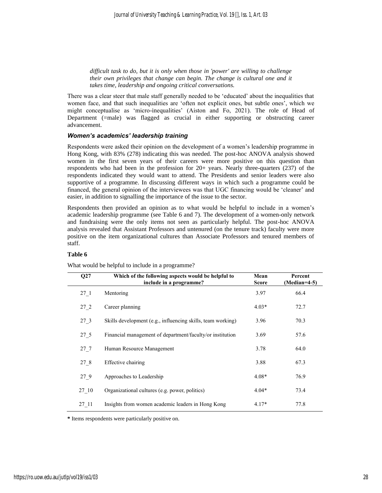*difficult task to do, but it is only when those in 'power' are willing to challenge their own privileges that change can begin. The change is cultural one and it takes time, leadership and ongoing critical conversations.* 

There was a clear steer that male staff generally needed to be 'educated' about the inequalities that women face, and that such inequalities are 'often not explicit ones, but subtle ones', which we might conceptualise as 'micro-inequalities' (Aiston and Fo, 2021). The role of Head of Department (=male) was flagged as crucial in either supporting or obstructing career advancement.

#### *Women's academics' leadership training*

Respondents were asked their opinion on the development of a women's leadership programme in Hong Kong, with 83% (278) indicating this was needed. The post-hoc ANOVA analysis showed women in the first seven years of their careers were more positive on this question than respondents who had been in the profession for 20+ years. Nearly three-quarters (237) of the respondents indicated they would want to attend. The Presidents and senior leaders were also supportive of a programme. In discussing different ways in which such a programme could be financed, the general opinion of the interviewees was that UGC financing would be 'cleaner' and easier, in addition to signalling the importance of the issue to the sector.

Respondents then provided an opinion as to what would be helpful to include in a women's academic leadership programme (see Table 6 and 7). The development of a women-only network and fundraising were the only items not seen as particularly helpful. The post-hoc ANOVA analysis revealed that Assistant Professors and untenured (on the tenure track) faculty were more positive on the item organizational cultures than Associate Professors and tenured members of staff.

#### **Table 6**

What would be helpful to include in a programme?

| Q27       | Which of the following aspects would be helpful to<br>include in a programme? | Mean<br><b>Score</b> | Percent<br>$(Median=4-5)$ |
|-----------|-------------------------------------------------------------------------------|----------------------|---------------------------|
| $27 - 1$  | Mentoring                                                                     | 3.97                 | 66.4                      |
| 27 2      | Career planning                                                               | $4.03*$              | 72.7                      |
| $27_{.}3$ | Skills development (e.g., influencing skills, team working)                   | 3.96                 | 70.3                      |
| $27\_5$   | Financial management of department/faculty/or institution                     | 3.69                 | 57.6                      |
| 27 7      | Human Resource Management                                                     | 3.78                 | 64.0                      |
| 27 8      | Effective chairing                                                            | 3.88                 | 67.3                      |
| 27 9      | Approaches to Leadership                                                      | $4.08*$              | 76.9                      |
| 27 10     | Organizational cultures (e.g. power, politics)                                | $4.04*$              | 73.4                      |
| 27 11     | Insights from women academic leaders in Hong Kong                             | $4.17*$              | 77.8                      |

**\*** Items respondents were particularly positive on.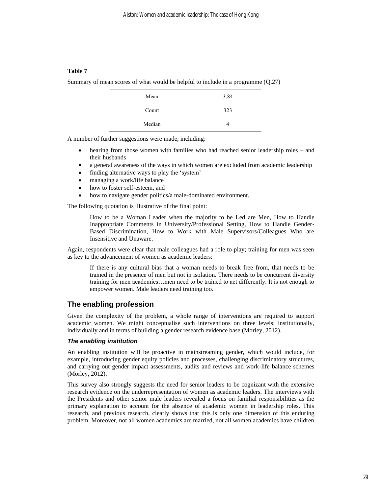Summary of mean scores of what would be helpful to include in a programme (Q.27)

| Mean   | 3.84 |
|--------|------|
| Count  | 323  |
| Median |      |

A number of further suggestions were made, including:

- hearing from those women with families who had reached senior leadership roles and their husbands
- a general awareness of the ways in which women are excluded from academic leadership
- finding alternative ways to play the 'system'
- managing a work/life balance
- how to foster self-esteem, and
- how to navigate gender politics/a male-dominated environment.

The following quotation is illustrative of the final point:

How to be a Woman Leader when the majority to be Led are Men, How to Handle Inappropriate Comments in University/Professional Setting, How to Handle Gender-Based Discrimination, How to Work with Male Supervisors/Colleagues Who are Insensitive and Unaware.

Again, respondents were clear that male colleagues had a role to play; training for men was seen as key to the advancement of women as academic leaders:

If there is any cultural bias that a woman needs to break free from, that needs to be trained in the presence of men but not in isolation. There needs to be concurrent diversity training for men academics…men need to be trained to act differently. It is not enough to empower women. Male leaders need training too.

#### **The enabling profession**

Given the complexity of the problem, a whole range of interventions are required to support academic women. We might conceptualise such interventions on three levels; institutionally, individually and in terms of building a gender research evidence base (Morley, 2012).

#### *The enabling institution*

An enabling institution will be proactive in mainstreaming gender, which would include, for example, introducing gender equity policies and processes, challenging discriminatory structures, and carrying out gender impact assessments, audits and reviews and work-life balance schemes (Morley, 2012).

This survey also strongly suggests the need for senior leaders to be cognizant with the extensive research evidence on the underrepresentation of women as academic leaders. The interviews with the Presidents and other senior male leaders revealed a focus on familial responsibilities as the primary explanation to account for the absence of academic women in leadership roles. This research, and previous research, clearly shows that this is only one dimension of this enduring problem. Moreover, not all women academics are married, not all women academics have children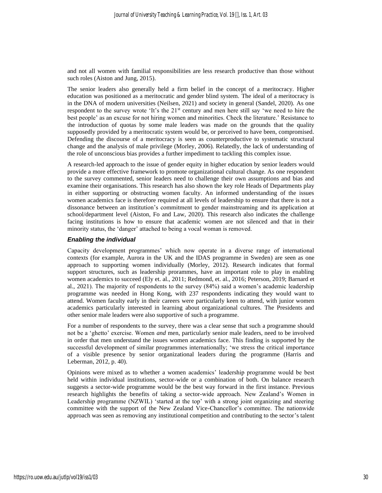and not all women with familial responsibilities are less research productive than those without such roles (Aiston and Jung, 2015).

The senior leaders also generally held a firm belief in the concept of a meritocracy. Higher education was positioned as a meritocratic and gender blind system. The ideal of a meritocracy is in the DNA of modern universities (Neilsen, 2021) and society in general (Sandel, 2020). As one respondent to the survey wrote 'It's the 21<sup>st</sup> century and men here still say 'we need to hire the best people' as an excuse for not hiring women and minorities. Check the literature.' Resistance to the introduction of quotas by some male leaders was made on the grounds that the quality supposedly provided by a meritocratic system would be, or perceived to have been, compromised. Defending the discourse of a meritocracy is seen as counterproductive to systematic structural change and the analysis of male privilege (Morley, 2006). Relatedly, the lack of understanding of the role of unconscious bias provides a further impediment to tackling this complex issue.

A research-led approach to the issue of gender equity in higher education by senior leaders would provide a more effective framework to promote organizational cultural change. As one respondent to the survey commented, senior leaders need to challenge their own assumptions and bias and examine their organisations. This research has also shown the key role Heads of Departments play in either supporting or obstructing women faculty. An informed understanding of the issues women academics face is therefore required at all levels of leadership to ensure that there is not a dissonance between an institution's commitment to gender mainstreaming and its application at school/department level (Aiston, Fo and Law, 2020). This research also indicates the challenge facing institutions is how to ensure that academic women are not silenced and that in their minority status, the 'danger' attached to being a vocal woman is removed.

#### *Enabling the individual*

Capacity development programmes' which now operate in a diverse range of international contexts (for example, Aurora in the UK and the IDAS programme in Sweden) are seen as one approach to supporting women individually (Morley, 2012). Research indicates that formal support structures, such as leadership prorammes, have an important role to play in enabling women academics to succeed (Ely et. al., 2011; Redmond, et. al., 2016; Peterson, 2019; Barnard et al., 2021). The majority of respondents to the survey (84%) said a women's academic leadership programme was needed in Hong Kong, with 237 respondents indicating they would want to attend. Women faculty early in their careers were particularly keen to attend, with junior women academics particularly interested in learning about organizational cultures. The Presidents and other senior male leaders were also supportive of such a programme.

For a number of respondents to the survey, there was a clear sense that such a programme should not be a 'ghetto' exercise. Women *and* men, particularly senior male leaders, need to be involved in order that men understand the issues women academics face. This finding is supported by the successful development of similar programmes internationally; 'we stress the critical importance of a visible presence by senior organizational leaders during the programme (Harris and Leberman, 2012, p. 40).

Opinions were mixed as to whether a women academics' leadership programme would be best held within individual institutions, sector-wide or a combination of both. On balance research suggests a sector-wide programme would be the best way forward in the first instance. Previous research highlights the benefits of taking a sector-wide approach. New Zealand's Women in Leadership programme (NZWIL) 'started at the top' with a strong joint organizing and steering committee with the support of the New Zealand Vice-Chancellor's committee. The nationwide approach was seen as removing any institutional competition and contributing to the sector's talent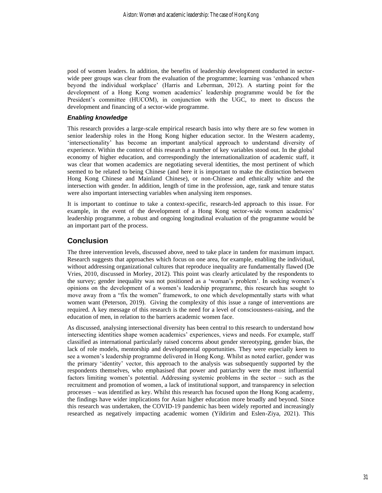pool of women leaders. In addition, the benefits of leadership development conducted in sectorwide peer groups was clear from the evaluation of the programme; learning was 'enhanced when beyond the individual workplace' (Harris and Leberman, 2012). A starting point for the development of a Hong Kong women academics' leadership programme would be for the President's committee (HUCOM), in conjunction with the UGC, to meet to discuss the development and financing of a sector-wide programme.

#### *Enabling knowledge*

This research provides a large-scale empirical research basis into why there are so few women in senior leadership roles in the Hong Kong higher education sector. In the Western academy, 'intersectionality' has become an important analytical approach to understand diversity of experience. Within the context of this research a number of key variables stood out. In the global economy of higher education, and correspondingly the internationalization of academic staff, it was clear that women academics are negotiating several identities, the most pertinent of which seemed to be related to being Chinese (and here it is important to make the distinction between Hong Kong Chinese and Mainland Chinese), or non-Chinese and ethnically white and the intersection with gender. In addition, length of time in the profession, age, rank and tenure status were also important intersecting variables when analysing item responses.

It is important to continue to take a context-specific, research-led approach to this issue. For example, in the event of the development of a Hong Kong sector-wide women academics' leadership programme, a robust and ongoing longitudinal evaluation of the programme would be an important part of the process.

## **Conclusion**

The three intervention levels, discussed above, need to take place in tandem for maximum impact. Research suggests that approaches which focus on one area, for example, enabling the individual, without addressing organizational cultures that reproduce inequality are fundamentally flawed (De Vries, 2010, discussed in Morley, 2012). This point was clearly articulated by the respondents to the survey; gender inequality was not positioned as a 'woman's problem'. In seeking women's opinions on the development of a women's leadership programme, this research has sought to move away from a "fix the women" framework, to one which developmentally starts with what women want (Peterson, 2019). Giving the complexity of this issue a range of interventions are required. A key message of this research is the need for a level of consciousness-raising, and the education of men, in relation to the barriers academic women face.

As discussed, analysing intersectional diversity has been central to this research to understand how intersecting identities shape women academics' experiences, views and needs. For example, staff classified as international particularly raised concerns about gender stereotyping, gender bias, the lack of role models, mentorship and developmental opportunities. They were especially keen to see a women's leadership programme delivered in Hong Kong. Whilst as noted earlier, gender was the primary 'identity' vector, this approach to the analysis was subsequently supported by the respondents themselves, who emphasised that power and patriarchy were the most influential factors limiting women's potential. Addressing systemic problems in the sector – such as the recruitment and promotion of women, a lack of institutional support, and transparency in selection processes – was identified as key. Whilst this research has focused upon the Hong Kong academy, the findings have wider implications for Asian higher education more broadly and beyond. Since this research was undertaken, the COVID-19 pandemic has been widely reported and increasingly researched as negatively impacting academic women (Yildirim and Eslen-Ziya, 2021). This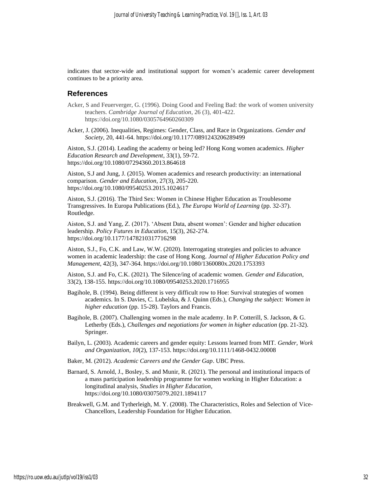indicates that sector-wide and institutional support for women's academic career development continues to be a priority area.

#### **References**

- Acker, S and Feuerverger, G. (1996). Doing Good and Feeling Bad: the work of women university teachers. *Cambridge Journal of Education*, 26 (3), 401-422. https://doi.org/10.1080/0305764960260309
- Acker, J. (2006). Inequalities, Regimes: Gender, Class, and Race in Organizations. *Gender and Society*, 20, 441-64. https://doi.org/10.1177/0891243206289499

Aiston, S.J. (2014). Leading the academy or being led? Hong Kong women academics. *Higher Education Research and Development*, 33(1), 59-72. https://doi.org/10.1080/07294360.2013.864618

Aiston, S.J and Jung, J. (2015). Women academics and research productivity: an international comparison. *Gender and Education*, 27(3), 205-220. https://doi.org/10.1080/09540253.2015.1024617

Aiston, S.J. (2016). The Third Sex: Women in Chinese Higher Education as Troublesome Transgressives. In Europa Publications (Ed.), *The Europa World of Learning* (pp. 32-37). Routledge.

Aiston, S.J. and Yang, Z. (2017). 'Absent Data, absent women': Gender and higher education leadership. *Policy Futures in Education*, 15(3), 262-274. https://doi.org/10.1177/1478210317716298

Aiston, S.J., Fo, C.K. and Law, W.W. (2020). Interrogating strategies and policies to advance women in academic leadership: the case of Hong Kong. *Journal of Higher Education Policy and Management*, 42(3), 347-364. https://doi.org/10.1080/1360080x.2020.1753393

Aiston, S.J. and Fo, C.K. (2021). The Silence/ing of academic women. *Gender and Education*, 33(2), 138-155. https://doi.org/10.1080/09540253.2020.1716955

- Bagihole, B. (1994). Being different is very difficult row to Hoe: Survival strategies of women academics. In S. Davies, C. Lubelska, & J. Quinn (Eds.), *Changing the subject: Women in higher education* (pp. 15-28). Taylors and Francis.
- Bagihole, B. (2007). Challenging women in the male academy. In P. Cotterill, S. Jackson, & G. Letherby (Eds.), *Challenges and negotiations for women in higher education* (pp. 21-32). Springer.
- Bailyn, L. (2003). Academic careers and gender equity: Lessons learned from MIT. *Gender, Work and Organization*, *10*(2), 137-153. https://doi.org/10.1111/1468-0432.00008
- Baker, M. (2012). *Academic Careers and the Gender Gap*. UBC Press.
- Barnard, S. Arnold, J., Bosley, S. and Munir, R. (2021). The personal and institutional impacts of a mass participation leadership programme for women working in Higher Education: a longitudinal analysis, *Studies in Higher Education*, https://doi.org/10.1080/03075079.2021.1894117
- Breakwell, G.M. and Tytherleigh, M. Y. (2008). The Characteristics, Roles and Selection of Vice-Chancellors, Leadership Foundation for Higher Education.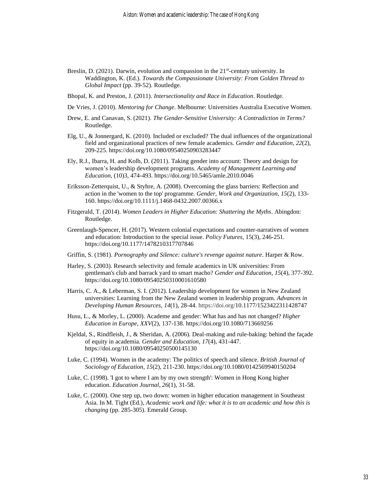- Breslin, D. (2021). Darwin, evolution and compassion in the 21<sup>st</sup>-century university. In Waddington, K. (Ed.). *Towards the Compassionate University: From Golden Thread to Global Impact* (pp. 39-52). Routledge.
- Bhopal, K. and Preston, J. (2011). *Intersectionality and Race in Education*. Routledge.
- De Vries, J. (2010). *Mentoring for Change*. Melbourne: Universities Australia Executive Women.
- Drew, E. and Canavan, S. (2021). *The Gender-Sensitive University: A Contradiction in Terms?* Routledge.
- Elg, U., & Jonnergard, K. (2010). Included or excluded? The dual influences of the organizational field and organizational practices of new female academics. *Gender and Education*, *22*(2), 209-225. https://doi.org/10.1080/09540250903283447
- Ely, R.J., Ibarra, H. and Kolb, D. (2011). Taking gender into account: Theory and design for women's leadership development programs. *Academy of Management Learning and Education*, (10)3, 474-493. https://doi.org/10.5465/amle.2010.0046
- Eriksson-Zetterquist, U., & Styhre, A. (2008). Overcoming the glass barriers: Reflection and action in the 'women to the top' programme. *Gender, Work and Organization*, *15*(2), 133- 160. https://doi.org/10.1111/j.1468-0432.2007.00366.x
- Fitzgerald, T. (2014). *Women Leaders in Higher Education: Shattering the Myths*. Abingdon: Routledge.
- Greenlaugh-Spencer, H. (2017). Western colonial expectations and counter-narratives of women and education: Introduction to the special issue. *Policy Futures*, 15(3), 246-251. https://doi.org/10.1177/1478210317707846
- Griffin, S. (1981). *Pornography and Silence: culture's revenge against nature*. Harper & Row.
- Harley, S. (2003). Research selectivity and female academics in UK universities: From gentleman's club and barrack yard to smart macho? *Gender and Education*, *15*(4), 377-392. https://doi.org/10.1080/09540250310001610580
- Harris, C. A., & Leberman, S. I. (2012). Leadership development for women in New Zealand universities: Learning from the New Zealand women in leadership program. *Advances in Developing Human Resources*, *14*(1), 28-44. https://doi.org/10.1177/1523422311428747
- Husu, L., & Morley, L. (2000). Academe and gender: What has and has not changed? *Higher Education in Europe*, *XXV*(2), 137-138. https://doi.org/10.1080/713669256
- Kjeldal, S., Rindfleish, J., & Sheridan, A. (2006). Deal-making and rule-baking: behind the façade of equity in academia. *Gender and Education*, *17*(4), 431-447. https://doi.org/10.1080/09540250500145130
- Luke, C. (1994). Women in the academy: The politics of speech and silence. *British Journal of Sociology of Education*, *15*(2), 211-230. https://doi.org/10.1080/0142569940150204
- Luke, C. (1998). 'I got to where I am by my own strength': Women in Hong Kong higher education. *Education Journal*, *26*(1), 31-58.
- Luke, C. (2000). One step up, two down: women in higher education management in Southeast Asia. In M. Tight (Ed.), *Academic work and life: what it is to an academic and how this is changing* (pp. 285-305). Emerald Group.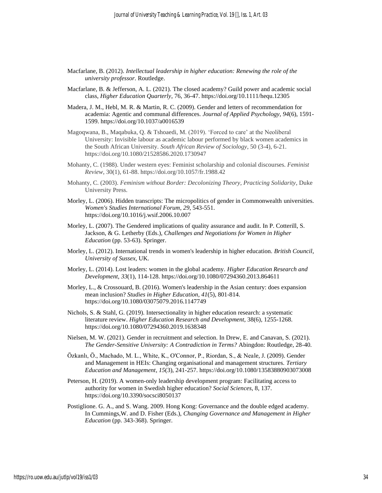- Macfarlane, B. (2012). *Intellectual leadership in higher education: Renewing the role of the university professor*. Routledge.
- Macfarlane, B. & Jefferson, A. L. (2021). The closed academy? Guild power and academic social class, *Higher Education Quarterly*, 76, 36-47. https://doi.org/10.1111/hequ.12305
- Madera, J. M., Hebl, M. R. & Martin, R. C. (2009). Gender and letters of recommendation for academia: Agentic and communal differences. *Journal of Applied Psychology*, *94*(6), 1591- 1599. https://doi.org/10.1037/a0016539
- Magoqwana, B., Maqabuka, Q. & Tshoaedi, M. (2019). 'Forced to care' at the Neoliberal University: Invisible labour as academic labour performed by black women academics in the South African University. *South African Review of Sociology*, 50 (3-4), 6-21. https://doi.org/10.1080/21528586.2020.1730947
- Mohanty, C. (1988). Under western eyes: Feminist scholarship and colonial discourses. *Feminist Review*, 30(1), 61-88. https://doi.org/10.1057/fr.1988.42
- Mohanty, C. (2003). *Feminism without Border: Decolonizing Theory, Practicing Solidarity*, Duke University Press.
- Morley, L. (2006). Hidden transcripts: The micropolitics of gender in Commonwealth universities. *Women's Studies International Forum*, *29*, 543-551. https://doi.org/10.1016/j.wsif.2006.10.007
- Morley, L. (2007). The Gendered implications of quality assurance and audit. In P. Cotterill, S. Jackson, & G. Letherby (Eds.), *Challenges and Negotiations for Women in Higher Education* (pp. 53-63). Springer.
- Morley, L. (2012). International trends in women's leadership in higher education. *British Council*, *University of Sussex*, UK.
- Morley, L. (2014). Lost leaders: women in the global academy. *Higher Education Research and Development*, *33*(1), 114-128. https://doi.org/10.1080/07294360.2013.864611
- Morley, L., & Crossouard, B. (2016). Women's leadership in the Asian century: does expansion mean inclusion? *Studies in Higher Education*, *41*(5), 801-814. https://doi.org/10.1080/03075079.2016.1147749
- Nichols, S. & Stahl, G. (2019). Intersectionality in higher education research: a systematic literature review. *Higher Education Research and Development*, 38(6), 1255-1268. https://doi.org/10.1080/07294360.2019.1638348
- Nielsen, M. W. (2021). Gender in recruitment and selection. In Drew, E. and Canavan, S. (2021). *The Gender-Sensitive University: A Contradiction in Terms?* Abingdon: Routledge, 28-40.
- Özkanlı, Ö., Machado, M. L., White, K., O'Connor, P., Riordan, S., & Neale, J. (2009). Gender and Management in HEIs: Changing organisational and management structures. *Tertiary Education and Management*, *15*(3), 241-257. https://doi.org/10.1080/13583880903073008
- Peterson, H. (2019). A women-only leadership development program: Facilitating access to authority for women in Swedish higher education? *Social Sciences*, 8, 137. https://doi.org/10.3390/socsci8050137
- Postiglione. G. A., and S. Wang. 2009. Hong Kong: Governance and the double edged academy. In Cummings,W. and D. Fisher (Eds.), *Changing Governance and Management in Higher Education* (pp. 343-368). Springer.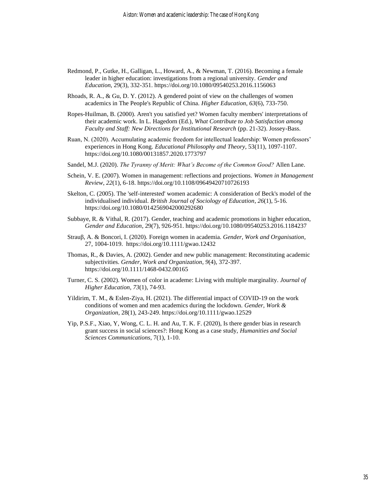- Redmond, P., Gutke, H., Galligan, L., Howard, A., & Newman, T. (2016). Becoming a female leader in higher education: investigations from a regional university. *Gender and Education*, 29(3), 332-351. https://doi.org/10.1080/09540253.2016.1156063
- Rhoads, R. A., & Gu, D. Y. (2012). A gendered point of view on the challenges of women academics in The People's Republic of China. *Higher Education*, *63*(6), 733-750.
- Ropes-Huilman, B. (2000). Aren't you satisfied yet? Women faculty members' interpretations of their academic work. In L. Hagedorn (Ed.), *What Contribute to Job Satisfaction among Faculty and Staff: New Directions for Institutional Research* (pp. 21-32). Jossey-Bass.
- Ruan, N. (2020). Accumulating academic freedom for intellectual leadership: Women professors' experiences in Hong Kong. *Educational Philosophy and Theory*, 53(11), 1097-1107. https://doi.org/10.1080/00131857.2020.1773797
- Sandel, M.J. (2020). *The Tyranny of Merit: What's Become of the Common Good?* Allen Lane.
- Schein, V. E. (2007). Women in management: reflections and projections. *Women in Management Review*, *22*(1), 6-18. https://doi.org/10.1108/09649420710726193
- Skelton, C. (2005). The 'self-interested' women academic: A consideration of Beck's model of the individualised individual. *British Journal of Sociology of Education*, *26*(1), 5-16. https://doi.org/10.1080/0142569042000292680
- Subbaye, R. & Vithal, R. (2017). Gender, teaching and academic promotions in higher education, *Gender and Education*, 29(7), 926-951. https://doi.org/10.1080/09540253.2016.1184237
- Strauβ, A. & Boncori, I. (2020). Foreign women in academia. *Gender, Work and Organisation*, 27, 1004-1019. https://doi.org/10.1111/gwao.12432
- Thomas, R., & Davies, A. (2002). Gender and new public management: Reconstituting academic subjectivities. *Gender, Work and Organization*, *9*(4), 372-397. https://doi.org/10.1111/1468-0432.00165
- Turner, C. S. (2002). Women of color in academe: Living with multiple marginality. *Journal of Higher Education*, *73*(1), 74-93.
- Yildirim, T. M., & Eslen-Ziya, H. (2021). The differential impact of COVID-19 on the work conditions of women and men academics during the lockdown. *Gender, Work & Organization*, 28(1), 243-249. https://doi.org/10.1111/gwao.12529
- Yip, P.S.F., Xiao, Y, Wong, C. L. H. and Au, T. K. F. (2020), Is there gender bias in research grant success in social sciences?: Hong Kong as a case study, *Humanities and Social Sciences Communications*, 7(1), 1-10.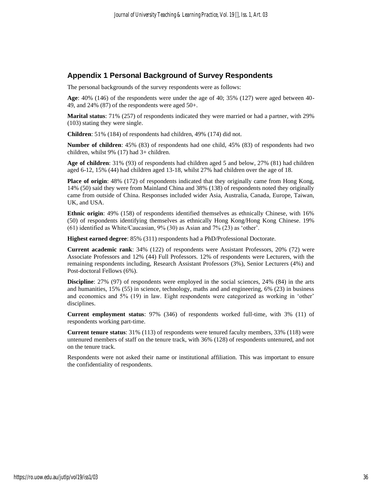#### **Appendix 1 Personal Background of Survey Respondents**

The personal backgrounds of the survey respondents were as follows:

**Age**: 40% (146) of the respondents were under the age of 40; 35% (127) were aged between 40- 49, and 24% (87) of the respondents were aged 50+.

**Marital status**: 71% (257) of respondents indicated they were married or had a partner, with 29% (103) stating they were single.

**Children**: 51% (184) of respondents had children, 49% (174) did not.

**Number of children**: 45% (83) of respondents had one child, 45% (83) of respondents had two children, whilst 9% (17) had 3+ children.

**Age of children**: 31% (93) of respondents had children aged 5 and below, 27% (81) had children aged 6-12, 15% (44) had children aged 13-18, whilst 27% had children over the age of 18.

**Place of origin**: 48% (172) of respondents indicated that they originally came from Hong Kong, 14% (50) said they were from Mainland China and 38% (138) of respondents noted they originally came from outside of China. Responses included wider Asia, Australia, Canada, Europe, Taiwan, UK, and USA.

**Ethnic origin**: 49% (158) of respondents identified themselves as ethnically Chinese, with 16% (50) of respondents identifying themselves as ethnically Hong Kong/Hong Kong Chinese. 19% (61) identified as White/Caucasian, 9% (30) as Asian and 7% (23) as 'other'.

**Highest earned degree**: 85% (311) respondents had a PhD/Professional Doctorate.

**Current academic rank**: 34% (122) of respondents were Assistant Professors, 20% (72) were Associate Professors and 12% (44) Full Professors. 12% of respondents were Lecturers, with the remaining respondents including, Research Assistant Professors (3%), Senior Lecturers (4%) and Post-doctoral Fellows (6%).

**Discipline**: 27% (97) of respondents were employed in the social sciences, 24% (84) in the arts and humanities, 15% (55) in science, technology, maths and and engineering, 6% (23) in business and economics and 5% (19) in law. Eight respondents were categorized as working in 'other' disciplines.

**Current employment status**: 97% (346) of respondents worked full-time, with 3% (11) of respondents working part-time.

**Current tenure status**: 31% (113) of respondents were tenured faculty members, 33% (118) were untenured members of staff on the tenure track, with 36% (128) of respondents untenured, and not on the tenure track.

Respondents were not asked their name or institutional affiliation. This was important to ensure the confidentiality of respondents.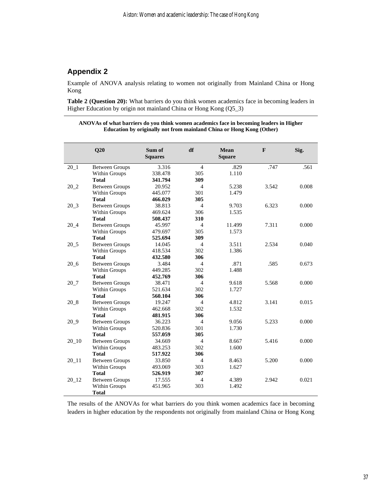# **Appendix 2**

Example of ANOVA analysis relating to women not originally from Mainland China or Hong Kong

**Table 2 (Question 20):** What barriers do you think women academics face in becoming leaders in Higher Education by origin not mainland China or Hong Kong (Q5\_3)

**ANOVAs of what barriers do you think women academics face in becoming leaders in Higher Education by originally not from mainland China or Hong Kong (Other)**

|                 | Q20                   | Sum of<br><b>Squares</b> | df             | Mean<br><b>Square</b> | F     | Sig.  |
|-----------------|-----------------------|--------------------------|----------------|-----------------------|-------|-------|
| $20\_1$         | <b>Between Groups</b> | 3.316                    | $\overline{4}$ | .829                  | .747  | .561  |
|                 | Within Groups         | 338.478                  | 305            | 1.110                 |       |       |
|                 | <b>Total</b>          | 341.794                  | 309            |                       |       |       |
| 20 <sub>2</sub> | <b>Between Groups</b> | 20.952                   | $\overline{4}$ | 5.238                 | 3.542 | 0.008 |
|                 | Within Groups         | 445.077                  | 301            | 1.479                 |       |       |
|                 | <b>Total</b>          | 466.029                  | 305            |                       |       |       |
| $20_3$          | <b>Between Groups</b> | 38.813                   | $\overline{4}$ | 9.703                 | 6.323 | 0.000 |
|                 | Within Groups         | 469.624                  | 306            | 1.535                 |       |       |
|                 | <b>Total</b>          | 508.437                  | 310            |                       |       |       |
| 20 4            | <b>Between Groups</b> | 45.997                   | 4              | 11.499                | 7.311 | 0.000 |
|                 | Within Groups         | 479.697                  | 305            | 1.573                 |       |       |
|                 | <b>Total</b>          | 525.694                  | 309            |                       |       |       |
| $20\_5$         | <b>Between Groups</b> | 14.045                   | 4              | 3.511                 | 2.534 | 0.040 |
|                 | Within Groups         | 418.534                  | 302            | 1.386                 |       |       |
|                 | <b>Total</b>          | 432.580                  | 306            |                       |       |       |
| $20\_6$         | <b>Between Groups</b> | 3.484                    | 4              | .871                  | .585  | 0.673 |
|                 | Within Groups         | 449.285                  | 302            | 1.488                 |       |       |
|                 | <b>Total</b>          | 452.769                  | 306            |                       |       |       |
| $20 - 7$        | <b>Between Groups</b> | 38.471                   | $\overline{4}$ | 9.618                 | 5.568 | 0.000 |
|                 | Within Groups         | 521.634                  | 302            | 1.727                 |       |       |
|                 | <b>Total</b>          | 560.104                  | 306            |                       |       |       |
| 20 <sub>8</sub> | <b>Between Groups</b> | 19.247                   | $\overline{4}$ | 4.812                 | 3.141 | 0.015 |
|                 | Within Groups         | 462.668                  | 302            | 1.532                 |       |       |
|                 | <b>Total</b>          | 481.915                  | 306            |                       |       |       |
| 20 9            | <b>Between Groups</b> | 36.223                   | $\overline{4}$ | 9.056                 | 5.233 | 0.000 |
|                 | Within Groups         | 520.836                  | 301            | 1.730                 |       |       |
|                 | <b>Total</b>          | 557.059                  | 305            |                       |       |       |
| $20 - 10$       | <b>Between Groups</b> | 34.669                   | $\overline{4}$ | 8.667                 | 5.416 | 0.000 |
|                 | Within Groups         | 483.253                  | 302            | 1.600                 |       |       |
|                 | <b>Total</b>          | 517.922                  | 306            |                       |       |       |
| $20_11$         | <b>Between Groups</b> | 33.850                   | 4              | 8.463                 | 5.200 | 0.000 |
|                 | Within Groups         | 493.069                  | 303            | 1.627                 |       |       |
|                 | <b>Total</b>          | 526.919                  | 307            |                       |       |       |
| $20 - 12$       | <b>Between Groups</b> | 17.555                   | $\overline{4}$ | 4.389                 | 2.942 | 0.021 |
|                 | Within Groups         | 451.965                  | 303            | 1.492                 |       |       |
|                 | <b>Total</b>          |                          |                |                       |       |       |

The results of the ANOVAs for what barriers do you think women academics face in becoming leaders in higher education by the respondents not originally from mainland China or Hong Kong